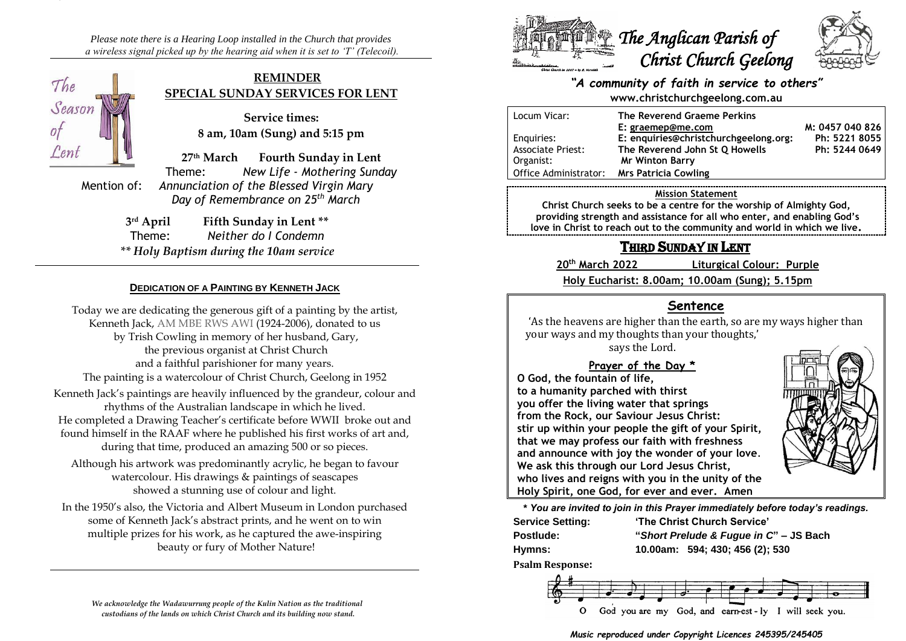*Please note there is a Hearing Loop installed in the Church that provides a wireless signal picked up by the hearing aid when it is set to 'T' (Telecoil).*



### **REMINDER SPECIAL SUNDAY SERVICES FOR LENT**

**Service times: 8 am, 10am (Sung) and 5:15 pm**

**27th March Fourth Sunday in Lent** Theme: *New Life - Mothering Sunday* Mention of: *Annunciation of the Blessed Virgin Mary Day of Remembrance on 25th March*

> 3rd April **Fifth Sunday in Lent** \*\* Theme: *Neither do I Condemn \*\* Holy Baptism during the 10am service*

### **DEDICATION OF A PAINTING BY KENNETH JACK**

Today we are dedicating the generous gift of a painting by the artist, Kenneth Jack, AM MBE RWS AWI (1924-2006), donated to us by Trish Cowling in memory of her husband, Gary, the previous organist at Christ Church and a faithful parishioner for many years. The painting is a watercolour of Christ Church, Geelong in 1952 Kenneth Jack's paintings are heavily influenced by the grandeur, colour and rhythms of the Australian landscape in which he lived. He completed a Drawing Teacher's certificate before WWII broke out and found himself in the RAAF where he published his first works of art and, during that time, produced an amazing 500 or so pieces. Although his artwork was predominantly acrylic, he began to favour watercolour. His drawings & paintings of seascapes

showed a stunning use of colour and light.

In the 1950's also, the Victoria and Albert Museum in London purchased some of Kenneth Jack's abstract prints, and he went on to win multiple prizes for his work, as he captured the awe-inspiring beauty or fury of Mother Nature!

*We acknowledge the Wadawurrung people of the Kulin Nation as the traditional custodians of the lands on which Christ Church and its building now stand.*



### *"A community of faith in service to others"* **www.christchurchgeelong.com.au**

| Locum Vicar:             | The Reverend Graeme Perkins           |                 |
|--------------------------|---------------------------------------|-----------------|
|                          | E: graemep@me.com                     | M: 0457 040 826 |
| Enguiries:               | E: enquiries@christchurchgeelong.org: | Ph: 5221 8055   |
| <b>Associate Priest:</b> | The Reverend John St Q Howells        | Ph: 5244 0649   |
| Organist:                | <b>Mr Winton Barry</b>                |                 |
| Office Administrator:    | Mrs Patricia Cowling                  |                 |

#### **Mission Statement**

**Christ Church seeks to be a centre for the worship of Almighty God, providing strength and assistance for all who enter, and enabling God's love in Christ to reach out to the community and world in which we live.**

# THIRD SUNDAY IN LENT

**20th March 2022 Liturgical Colour: Purple**

**Holy Eucharist: 8.00am; 10.00am (Sung); 5.15pm**

## **Sentence**

'As the heavens are higher than the earth, so are my ways higher than your ways and my thoughts than your thoughts,'

says the Lord.

## **Prayer of the Day \***

**O God, the fountain of life, to a humanity parched with thirst you offer the living water that springs from the Rock, our Saviour Jesus Christ: stir up within your people the gift of your Spirit, that we may profess our faith with freshness and announce with joy the wonder of your love**. **We ask this through our Lord Jesus Christ, who lives and reigns with you in the unity of the Holy Spirit, one God, for ever and ever. Amen**



**Service Setting: 'The Christ Church Service'**

**Postlude: "***Short Prelude & Fugue in C***" – JS Bach Hymns: 10.00am: 594; 430; 456 (2); 530**

**Psalm Response:**



*Music reproduced under Copyright Licences 245395/245405*